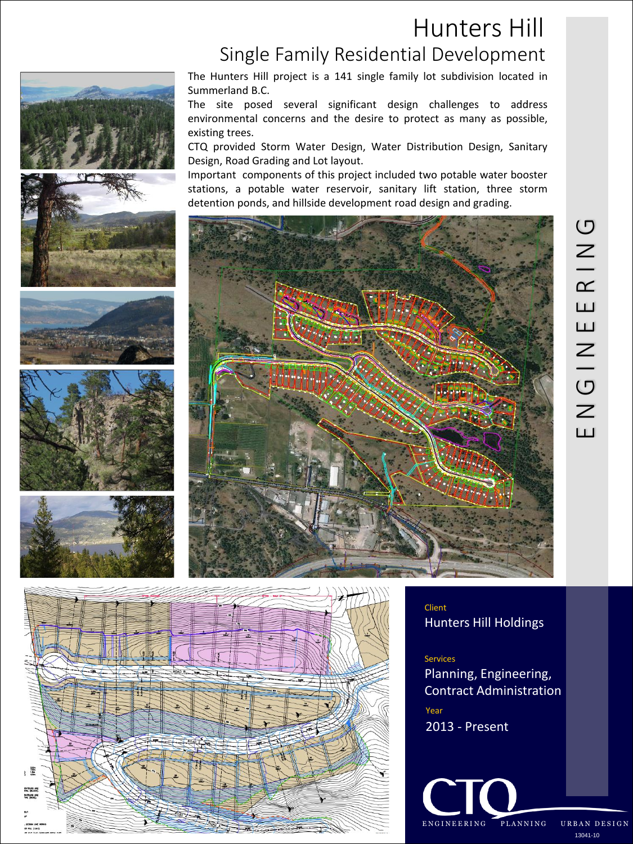## Hunters Hill Single Family Residential Development











The Hunters Hill project is a 141 single family lot subdivision located in Summerland B.C.

The site posed several significant design challenges to address environmental concerns and the desire to protect as many as possible, existing trees.

CTQ provided Storm Water Design, Water Distribution Design, Sanitary Design, Road Grading and Lot layout.

Important components of this project included two potable water booster stations, a potable water reservoir, sanitary lift station, three storm detention ponds, and hillside development road design and grading.





Client Hunters Hill Holdings

#### Services

Planning, Engineering, Contract Administration

Year 2013 - Present

ENGINEERING PLANNING URBAN DESIGN 13041-10